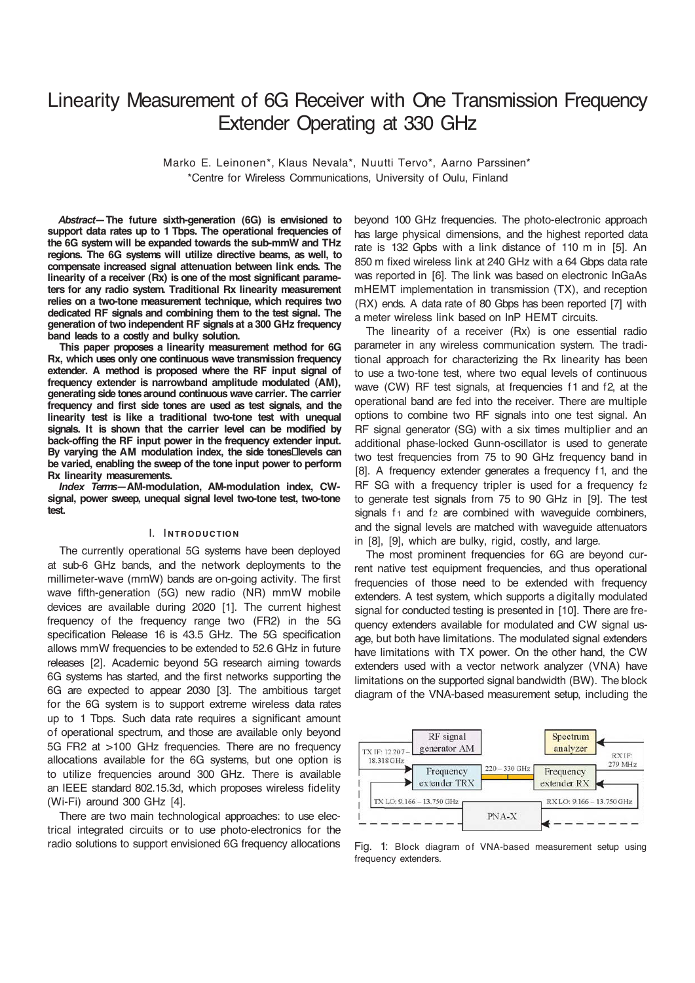# Linearity Measurement of 6G Receiver with One Transmission Frequency Extender Operating at 330 GHz

Marko E. Leinonen\*, Klaus Nevala\*, Nuutti Tervo\*, Aarno Parssinen\* \*Centre for Wireless Communications, University of Oulu, Finland

*Abstract***—The future sixth-generation (6G) is envisioned to support data rates up to 1 Tbps. The operational frequencies of the 6G system will be expanded towards the sub-mmW and THz regions. The 6G systems will utilize directive beams, as well, to compensate increased signal attenuation between link ends. The linearity of a receiver (Rx) is one of the most significant parameters for any radio system. Traditional Rx linearity measurement relies on a two-tone measurement technique, which requires two dedicated RF signals and combining them to the test signal. The generation of two independent RF signals at a 300 GHz frequency band leads to a costly and bulky solution.**

**This paper proposes a linearity measurement method for 6G Rx, which uses only one continuous wave transmission frequency extender. A method is proposed where the RF input signal of frequency extender is narrowband amplitude modulated (AM), generating side tones around continuous wave carrier. The carrier frequency and first side tones are used as test signals, and the linearity test is like a traditional two-tone test with unequal signals. It is shown that the carrier level can be modified by back-offing the RF input power in the frequency extender input.** By varying the AM modulation index, the side tones<sup>Illevels</sup> can **be varied, enabling the sweep of the tone input power to perform Rx linearity measurements.**

*Index Terms***—AM-modulation, AM-modulation index, CWsignal, power sweep, unequal signal level two-tone test, two-tone test.**

## **I.** INTRODUCTION

The currently operational 5G systems have been deployed at sub-6 GHz bands, and the network deployments to the millimeter-wave (mmW) bands are on-going activity. The first wave fifth-generation (5G) new radio (NR) mmW mobile devices are available during 2020 [1]. The current highest frequency of the frequency range two (FR2) in the 5G specification Release 16 is 43.5 GHz. The 5G specification allows mmW frequencies to be extended to 52.6 GHz in future releases [2]. Academic beyond 5G research aiming towards 6G systems has started, and the first networks supporting the 6G are expected to appear 2030 [3]. The ambitious target for the 6G system is to support extreme wireless data rates up to 1 Tbps. Such data rate requires a significant amount of operational spectrum, and those are available only beyond 5G FR2 at >100 GHz frequencies. There are no frequency allocations available for the 6G systems, but one option is to utilize frequencies around 300 GHz. There is available an IEEE standard 802.15.3d, which proposes wireless fidelity (Wi-Fi) around 300 GHz [4].

There are two main technological approaches: to use electrical integrated circuits or to use photo-electronics for the radio solutions to support envisioned 6G frequency allocations

beyond 100 GHz frequencies. The photo-electronic approach has large physical dimensions, and the highest reported data rate is 132 Gpbs with a link distance of 110 m in [5]. An 850 m fixed wireless link at 240 GHz with a 64 Gbps data rate was reported in [6]. The link was based on electronic InGaAs mHEMT implementation in transmission (TX), and reception (RX) ends. A data rate of 80 Gbps has been reported [7] with a meter wireless link based on InP HEMT circuits.

The linearity of a receiver (Rx) is one essential radio parameter in any wireless communication system. The traditional approach for characterizing the Rx linearity has been to use a two-tone test, where two equal levels of continuous wave (CW) RF test signals, at frequencies f1 and f2, at the operational band are fed into the receiver. There are multiple options to combine two RF signals into one test signal. An RF signal generator (SG) with a six times multiplier and an additional phase-locked Gunn-oscillator is used to generate two test frequencies from 75 to 90 GHz frequency band in [8]. A frequency extender generates a frequency f1, and the RF SG with a frequency tripler is used for a frequency f2 to generate test signals from 75 to 90 GHz in [9]. The test signals  $f_1$  and  $f_2$  are combined with waveguide combiners, and the signal levels are matched with waveguide attenuators in [8], [9], which are bulky, rigid, costly, and large.

The most prominent frequencies for 6G are beyond current native test equipment frequencies, and thus operational frequencies of those need to be extended with frequency extenders. A test system, which supports a digitally modulated signal for conducted testing is presented in [10]. There are frequency extenders available for modulated and CW signal usage, but both have limitations. The modulated signal extenders have limitations with TX power. On the other hand, the CW extenders used with a vector network analyzer (VNA) have limitations on the supported signal bandwidth (BW). The block diagram of the VNA-based measurement setup, including the



Fig. 1: Block diagram of VNA-based measurement setup using frequency extenders.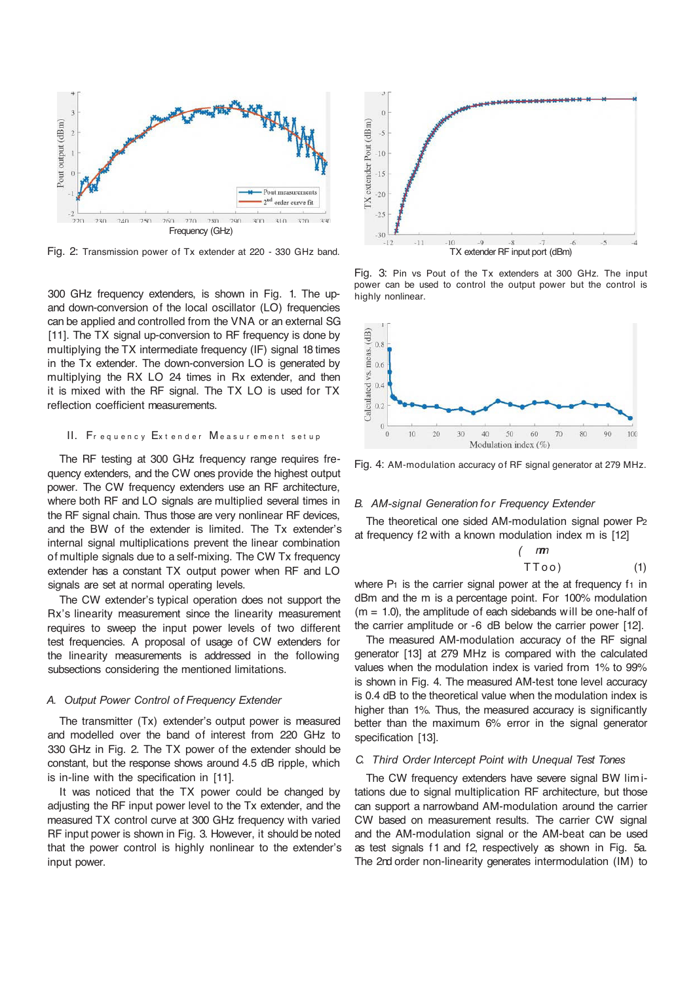

Fig. 2: Transmission power of Tx extender at 220 - 330 GHz band.

300 GHz frequency extenders, is shown in Fig. 1. The upand down-conversion of the local oscillator (LO) frequencies can be applied and controlled from the VNA or an external SG [11]. The TX signal up-conversion to RF frequency is done by multiplying the TX intermediate frequency (IF) signal 18 times in the Tx extender. The down-conversion LO is generated by multiplying the RX LO 24 times in Rx extender, and then it is mixed with the RF signal. The TX LO is used for TX reflection coefficient measurements.

#### II. Frequency Extender Measurement setup

The RF testing at 300 GHz frequency range requires frequency extenders, and the CW ones provide the highest output power. The CW frequency extenders use an RF architecture, where both RF and LO signals are multiplied several times in the RF signal chain. Thus those are very nonlinear RF devices, and the BW of the extender is limited. The Tx extender's internal signal multiplications prevent the linear combination of multiple signals due to a self-mixing. The CW Tx frequency extender has a constant TX output power when RF and LO signals are set at normal operating levels.

The CW extender's typical operation does not support the Rx's linearity measurement since the linearity measurement requires to sweep the input power levels of two different test frequencies. A proposal of usage of CW extenders for the linearity measurements is addressed in the following subsections considering the mentioned limitations.

#### *A. Output Power Control of Frequency Extender*

The transmitter (Tx) extender's output power is measured and modelled over the band of interest from 220 GHz to 330 GHz in Fig. 2. The TX power of the extender should be constant, but the response shows around 4.5 dB ripple, which is in-line with the specification in [11].

It was noticed that the TX power could be changed by adjusting the RF input power level to the Tx extender, and the measured TX control curve at 300 GHz frequency with varied RF input power is shown in Fig. 3. However, it should be noted that the power control is highly nonlinear to the extender's input power.



Fig. 3: Pin vs Pout of the Tx extenders at 300 GHz. The input power can be used to control the output power but the control is highly nonlinear.



Fig. 4: AM-modulation accuracy of RF signal generator at 279 MHz.

### *B. AM-signal Generation for Frequency Extender*

The theoretical one sided AM-modulation signal power P2 at frequency f2 with a known modulation index m is [12]

$$
\begin{array}{cc}\n(m \\
TToo)\n\end{array} \tag{1}
$$

where  $P_1$  is the carrier signal power at the at frequency  $f_1$  in dBm and the m is a percentage point. For 100% modulation  $(m = 1.0)$ , the amplitude of each sidebands will be one-half of the carrier amplitude or -6 dB below the carrier power [12].

The measured AM-modulation accuracy of the RF signal generator [13] at 279 MHz is compared with the calculated values when the modulation index is varied from 1% to 99% is shown in Fig. 4. The measured AM-test tone level accuracy is 0.4 dB to the theoretical value when the modulation index is higher than 1%. Thus, the measured accuracy is significantly better than the maximum 6% error in the signal generator specification [13].

# *C. Third Order Intercept Point with Unequal Test Tones*

The CW frequency extenders have severe signal BW lim itations due to signal multiplication RF architecture, but those can support a narrowband AM-modulation around the carrier CW based on measurement results. The carrier CW signal and the AM-modulation signal or the AM-beat can be used as test signals f1 and f2, respectively as shown in Fig. 5a. The 2nd order non-linearity generates intermodulation (IM) to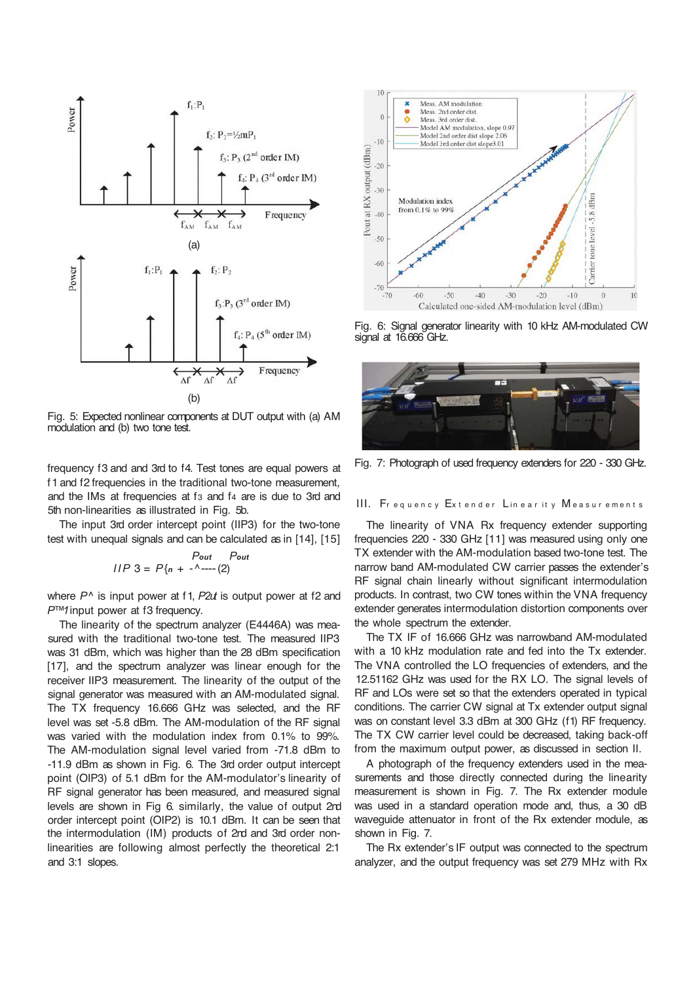

Fig. 5: Expected nonlinear components at DUT output with (a) AM modulation and (b) two tone test.

frequency f3 and and 3rd to f4. Test tones are equal powers at f1 and f2 frequencies in the traditional two-tone measurement, and the IMs at frequencies at f<sub>3</sub> and f<sub>4</sub> are is due to 3rd and 5th non-linearities as illustrated in Fig. 5b.

The input 3rd order intercept point (IIP3) for the two-tone test with unequal signals and can be calculated as in [14], [15]

$$
Plot \n= P\{n + \frac{1}{2} - \frac{1}{2}\}
$$

where *P^* is input power at f1, *P2ut* is output power at f2 and *P™1* input power at f3 frequency.

The linearity of the spectrum analyzer (E4446A) was measured with the traditional two-tone test. The measured IIP3 was 31 dBm, which was higher than the 28 dBm specification [17], and the spectrum analyzer was linear enough for the receiver IIP3 measurement. The linearity of the output of the signal generator was measured with an AM-modulated signal. The TX frequency 16.666 GHz was selected, and the RF level was set -5.8 dBm. The AM-modulation of the RF signal was varied with the modulation index from 0.1% to 99%. The AM-modulation signal level varied from -71.8 dBm to -11.9 dBm as shown in Fig. 6. The 3rd order output intercept point (OIP3) of 5.1 dBm for the AM-modulator's linearity of RF signal generator has been measured, and measured signal levels are shown in Fig 6. similarly, the value of output 2nd order intercept point (OIP2) is 10.1 dBm. It can be seen that the intermodulation (IM) products of 2nd and 3rd order nonlinearities are following almost perfectly the theoretical 2:1 and 3:1 slopes.



Fig. 6: Signal generator linearity with 10 kHz AM-modulated CW signal at 16.666 GHz.



Fig. 7: Photograph of used frequency extenders for 220 - 330 GHz.

## III. Frequency Extender Linearity Measurements

The linearity of VNA Rx frequency extender supporting frequencies 220 - 330 GHz [11] was measured using only one TX extender with the AM-modulation based two-tone test. The narrow band AM-modulated CW carrier passes the extender's RF signal chain linearly without significant intermodulation products. In contrast, two CW tones within the VNA frequency extender generates intermodulation distortion components over the whole spectrum the extender.

The TX IF of 16.666 GHz was narrowband AM-modulated with a 10 kHz modulation rate and fed into the Tx extender. The VNA controlled the LO frequencies of extenders, and the 12.51162 GHz was used for the RX LO. The signal levels of RF and LOs were set so that the extenders operated in typical conditions. The carrier CW signal at Tx extender output signal was on constant level 3.3 dBm at 300 GHz (f1) RF frequency. The TX CW carrier level could be decreased, taking back-off from the maximum output power, as discussed in section II.

A photograph of the frequency extenders used in the measurements and those directly connected during the linearity measurement is shown in Fig. 7. The Rx extender module was used in a standard operation mode and, thus, a 30 dB waveguide attenuator in front of the Rx extender module, as shown in Fig. 7.

The Rx extender's IF output was connected to the spectrum analyzer, and the output frequency was set 279 MHz with Rx